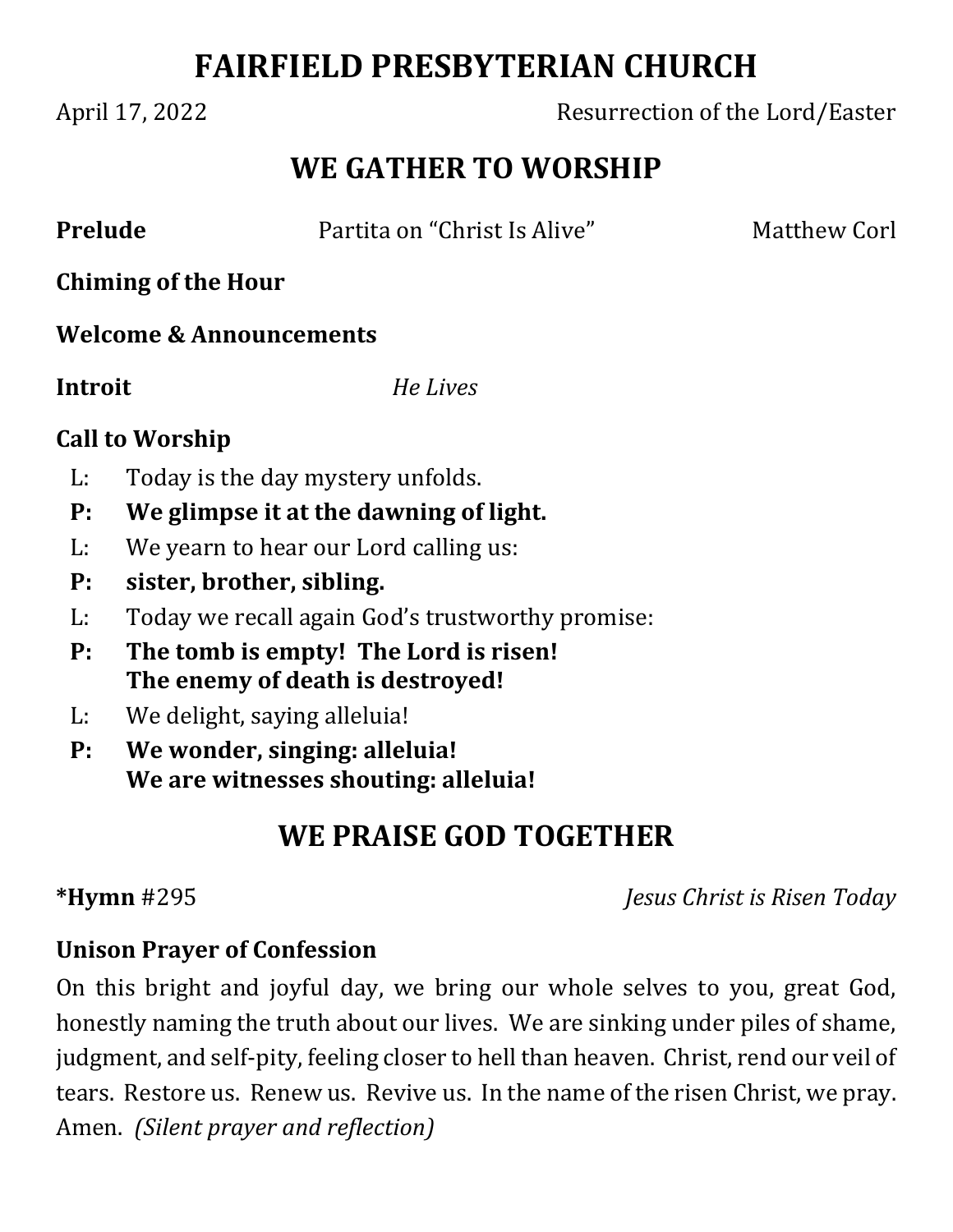# **FAIRFIELD PRESBYTERIAN CHURCH**

April 17, 2022 Resurrection of the Lord/Easter

## **WE GATHER TO WORSHIP**

**Prelude** Partita on "Christ Is Alive" Matthew Corl

**Chiming of the Hour**

### **Welcome & Announcements**

**Introit** *He Lives*

### **Call to Worship**

- L: Today is the day mystery unfolds.
- **P: We glimpse it at the dawning of light.**
- L: We yearn to hear our Lord calling us:
- **P: sister, brother, sibling.**
- L: Today we recall again God's trustworthy promise:
- **P: The tomb is empty! The Lord is risen! The enemy of death is destroyed!**
- L: We delight, saying alleluia!
- **P: We wonder, singing: alleluia! We are witnesses shouting: alleluia!**

# **WE PRAISE GOD TOGETHER**

**\*Hymn** #295 *Jesus Christ is Risen Today*

## **Unison Prayer of Confession**

On this bright and joyful day, we bring our whole selves to you, great God, honestly naming the truth about our lives. We are sinking under piles of shame, judgment, and self-pity, feeling closer to hell than heaven. Christ, rend our veil of tears. Restore us. Renew us. Revive us. In the name of the risen Christ, we pray. Amen. *(Silent prayer and reflection)*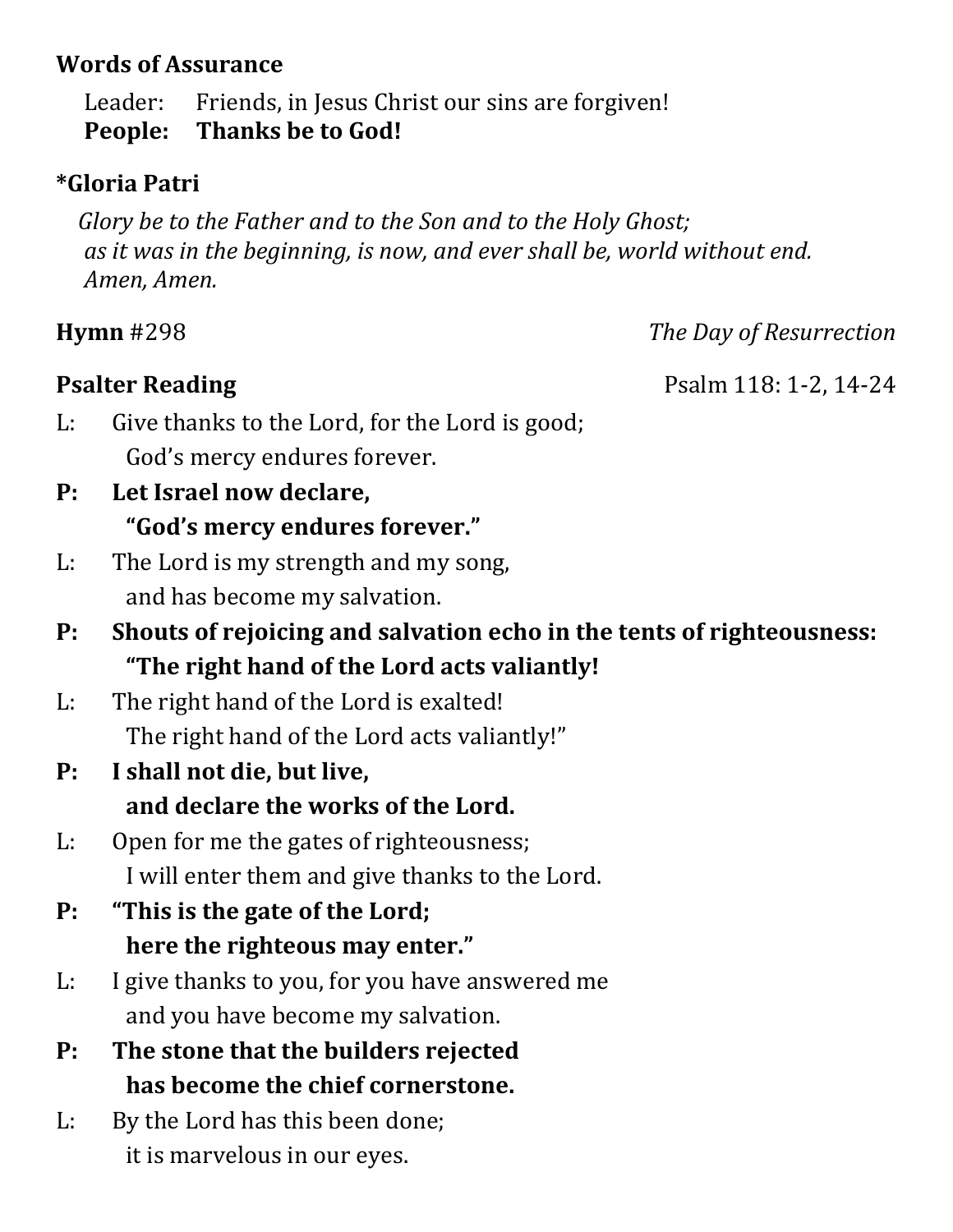## **Words of Assurance**

Leader: Friends, in Jesus Christ our sins are forgiven! **People: Thanks be to God!**

## **\*Gloria Patri**

 *Glory be to the Father and to the Son and to the Holy Ghost; as it was in the beginning, is now, and ever shall be, world without end. Amen, Amen.*

**Hymn** #298 *The Day of Resurrection*

**Psalter Reading** Psalm 118: 1-2, 14-24

- L: Give thanks to the Lord, for the Lord is good; God's mercy endures forever.
- **P: Let Israel now declare, "God's mercy endures forever."**
- L: The Lord is my strength and my song, and has become my salvation.
- **P: Shouts of rejoicing and salvation echo in the tents of righteousness: "The right hand of the Lord acts valiantly!**
- L: The right hand of the Lord is exalted! The right hand of the Lord acts valiantly!"
- **P: I shall not die, but live, and declare the works of the Lord.**
- L: Open for me the gates of righteousness; I will enter them and give thanks to the Lord.
- **P: "This is the gate of the Lord; here the righteous may enter."**
- L: I give thanks to you, for you have answered me and you have become my salvation.
- **P: The stone that the builders rejected has become the chief cornerstone.**
- L: By the Lord has this been done; it is marvelous in our eyes.